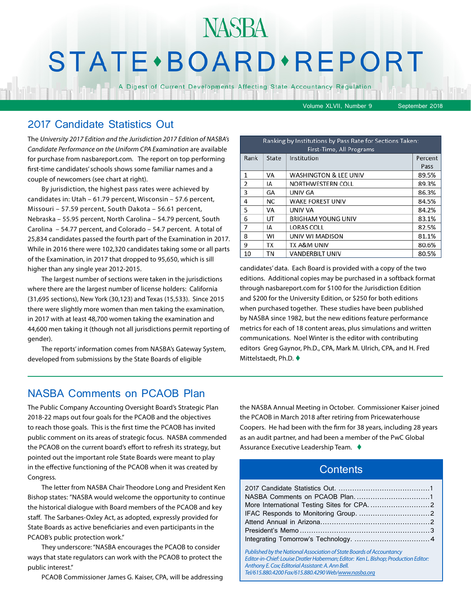## NASBA STATE · BOARD · REPORT

A Digest of Current Developments Affecting State Accountancy Regulation

Volume XLVII, Number 9 September 2018

#### 2017 Candidate Statistics Out

The *University 2017 Edition and the Jurisdiction 2017 Edition of NASBA's Candidate Performance on the Uniform CPA Examination* are available for purchase from nasbareport.com. The report on top performing first-time candidates' schools shows some familiar names and a couple of newcomers (see chart at right).

By jurisdiction, the highest pass rates were achieved by candidates in: Utah – 61.79 percent, Wisconsin – 57.6 percent, Missouri – 57.59 percent, South Dakota – 56.61 percent, Nebraska – 55.95 percent, North Carolina – 54.79 percent, South Carolina – 54.77 percent, and Colorado – 54.7 percent. A total of 25,834 candidates passed the fourth part of the Examination in 2017. While in 2016 there were 102,320 candidates taking some or all parts of the Examination, in 2017 that dropped to 95,650, which is sill higher than any single year 2012-2015.

The largest number of sections were taken in the jurisdictions where there are the largest number of license holders: California (31,695 sections), New York (30,123) and Texas (15,533). Since 2015 there were slightly more women than men taking the examination, in 2017 with at least 48,700 women taking the examination and 44,600 men taking it (though not all jurisdictions permit reporting of gender).

The reports' information comes from NASBA's Gateway System, developed from submissions by the State Boards of eligible

| Ranking by Institutions by Pass Rate for Sections Taken:<br>First-Time, All Programs |           |                                  |                 |  |
|--------------------------------------------------------------------------------------|-----------|----------------------------------|-----------------|--|
| Rank                                                                                 | State     | Institution                      | Percent<br>Pass |  |
| $\mathbf{1}$                                                                         | VA        | <b>WASHINGTON &amp; LEE UNIV</b> | 89.5%           |  |
| 2                                                                                    | IA        | NORTHWESTERN COLL                | 89.3%           |  |
| 3                                                                                    | GA        | UNIV GA                          | 86.3%           |  |
| 4                                                                                    | <b>NC</b> | <b>WAKE FOREST UNIV</b>          | 84.5%           |  |
| 5                                                                                    | VA        | UNIV VA                          | 84.2%           |  |
| 6                                                                                    | UT        | <b>BRIGHAM YOUNG UNIV</b>        | 83.1%           |  |
| 7                                                                                    | IΑ        | <b>LORAS COLL</b>                | 82.5%           |  |
| 8                                                                                    | wı        | UNIV WI MADISON                  | 81.1%           |  |
| 9                                                                                    | ТX        | <b>TX A&amp;M UNIV</b>           | 80.6%           |  |
| 10                                                                                   | ΤN        | <b>VANDERBILT UNIV</b>           | 80.5%           |  |

candidates' data. Each Board is provided with a copy of the two editions. Additional copies may be purchased in a softback format through nasbareport.com for \$100 for the Jurisdiction Edition and \$200 for the University Edition, or \$250 for both editions when purchased together. These studies have been published by NASBA since 1982, but the new editions feature performance metrics for each of 18 content areas, plus simulations and written communications. Noel Winter is the editor with contributing editors Greg Gaynor, Ph.D., CPA, Mark M. Ulrich, CPA, and H. Fred Mittelstaedt, Ph.D.  $\blacklozenge$ 

#### NASBA Comments on PCAOB Plan

The Public Company Accounting Oversight Board's Strategic Plan 2018-22 maps out four goals for the PCAOB and the objectives to reach those goals. This is the first time the PCAOB has invited public comment on its areas of strategic focus. NASBA commended the PCAOB on the current board's effort to refresh its strategy, but pointed out the important role State Boards were meant to play in the effective functioning of the PCAOB when it was created by Congress.

The letter from NASBA Chair Theodore Long and President Ken Bishop states: "NASBA would welcome the opportunity to continue the historical dialogue with Board members of the PCAOB and key staff. The Sarbanes-Oxley Act, as adopted, expressly provided for State Boards as active beneficiaries and even participants in the PCAOB's public protection work."

They underscore: "NASBA encourages the PCAOB to consider ways that state regulators can work with the PCAOB to protect the public interest."

PCAOB Commissioner James G. Kaiser, CPA, will be addressing

the NASBA Annual Meeting in October. Commissioner Kaiser joined the PCAOB in March 2018 after retiring from Pricewaterhouse Coopers. He had been with the firm for 38 years, including 28 years as an audit partner, and had been a member of the PwC Global Assurance Executive Leadership Team.  $\triangleleft$ 

#### **Contents**

| Published by the National Association of State Roards of Accountancy |  |
|----------------------------------------------------------------------|--|

*Published by the National Association of State Boards of Accountancy Editor-in-Chief: Louise Dratler Haberman; Editor: Ken L. Bishop; Production Editor: Anthony E. Cox; Editorial Assistant: A. Ann Bell. Tel/615.880.4200 Fax/615.880.4290 Web[/www.nasba.org](http://www.nasba.org)*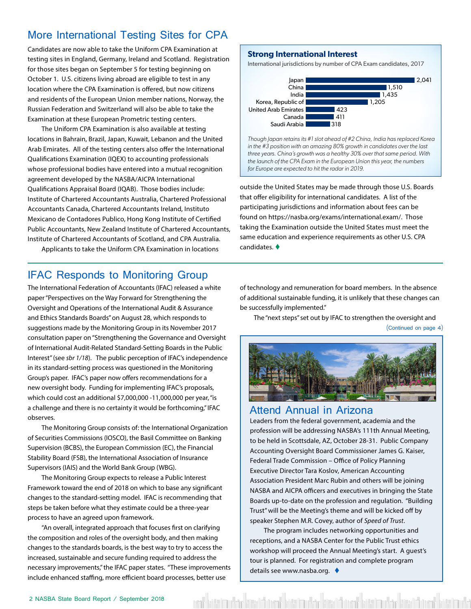#### <span id="page-1-0"></span>More International Testing Sites for CPA

Candidates are now able to take the Uniform CPA Examination at testing sites in England, Germany, Ireland and Scotland. Registration for those sites began on September 5 for testing beginning on October 1. U.S. citizens living abroad are eligible to test in any location where the CPA Examination is offered, but now citizens and residents of the European Union member nations, Norway, the Russian Federation and Switzerland will also be able to take the Examination at these European Prometric testing centers.

The Uniform CPA Examination is also available at testing locations in Bahrain, Brazil, Japan, Kuwait, Lebanon and the United Arab Emirates. All of the testing centers also offer the International Qualifications Examination (IQEX) to accounting professionals whose professional bodies have entered into a mutual recognition agreement developed by the NASBA/AICPA International Qualifications Appraisal Board (IQAB). Those bodies include: Institute of Chartered Accountants Australia, Chartered Professional Accountants Canada, Chartered Accountants Ireland, Instituto Mexicano de Contadores Publico, Hong Kong Institute of Certified Public Accountants, New Zealand Institute of Chartered Accountants, Institute of Chartered Accountants of Scotland, and CPA Australia.

Applicants to take the Uniform CPA Examination in locations

#### **Strong International Interest**

International jurisdictions by number of CPA Exam candidates, 2017



*for Europe are expected to hit the radar in 2019.*

outside the United States may be made through those U.S. Boards that offer eligibility for international candidates. A list of the participating jurisdictions and information about fees can be found on https://nasba.org/exams/international.exam/. Those taking the Examination outside the United States must meet the same education and experience requirements as other U.S. CPA candidates.  $\blacklozenge$ 

#### IFAC Responds to Monitoring Group

The International Federation of Accountants (IFAC) released a white paper "Perspectives on the Way Forward for Strengthening the Oversight and Operations of the International Audit & Assurance and Ethics Standards Boards" on August 28, which responds to suggestions made by the Monitoring Group in its November 2017 consultation paper on "Strengthening the Governance and Oversight of International Audit-Related Standard-Setting Boards in the Public Interest" (see *sbr 1/18*). The public perception of IFAC's independence in its standard-setting process was questioned in the Monitoring Group's paper. IFAC's paper now offers recommendations for a new oversight body. Funding for implementing IFAC's proposals, which could cost an additional \$7,000,000 -11,000,000 per year, "is a challenge and there is no certainty it would be forthcoming," IFAC observes.

The Monitoring Group consists of: the International Organization of Securities Commissions (IOSCO), the Basil Committee on Banking Supervision (BCBS), the European Commission (EC), the Financial Stability Board (FSB), the International Association of Insurance Supervisors (IAIS) and the World Bank Group (WBG).

The Monitoring Group expects to release a Public Interest Framework toward the end of 2018 on which to base any significant changes to the standard-setting model. IFAC is recommending that steps be taken before what they estimate could be a three-year process to have an agreed upon framework.

"An overall, integrated approach that focuses first on clarifying the composition and roles of the oversight body, and then making changes to the standards boards, is the best way to try to access the increased, sustainable and secure funding required to address the necessary improvements," the IFAC paper states. "These improvements include enhanced staffing, more efficient board processes, better use

of technology and remuneration for board members. In the absence of additional sustainable funding, it is unlikely that these changes can be successfully implemented."

The "next steps" set out by IFAC to strengthen the oversight and (Continued on page 4)



#### Attend Annual in Arizona

Leaders from the federal government, academia and the profession will be addressing NASBA's 111th Annual Meeting, to be held in Scottsdale, AZ, October 28-31. Public Company Accounting Oversight Board Commissioner James G. Kaiser, Federal Trade Commission – Office of Policy Planning Executive Director Tara Koslov, American Accounting Association President Marc Rubin and others will be joining NASBA and AICPA officers and executives in bringing the State Boards up-to-date on the profession and regulation. "Building Trust" will be the Meeting's theme and will be kicked off by speaker Stephen M.R. Covey, author of *Speed of Trust*.

The program includes networking opportunities and receptions, and a NASBA Center for the Public Trust ethics workshop will proceed the Annual Meeting's start. A guest's tour is planned. For registration and complete program details see www.nasba.org.  $\triangleleft$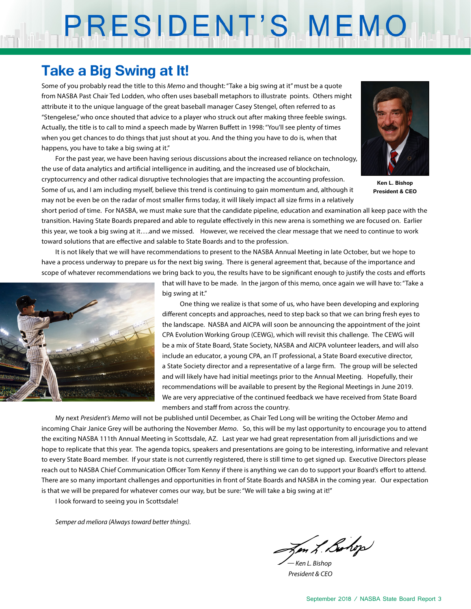# PRESIDENT'S MEMO

### **Take a Big Swing at It!**

Some of you probably read the title to this *Memo* and thought: "Take a big swing at it" must be a quote from NASBA Past Chair Ted Lodden, who often uses baseball metaphors to illustrate points. Others might attribute it to the unique language of the great baseball manager Casey Stengel, often referred to as "Stengelese," who once shouted that advice to a player who struck out after making three feeble swings. Actually, the title is to call to mind a speech made by Warren Buffett in 1998: "You'll see plenty of times when you get chances to do things that just shout at you. And the thing you have to do is, when that happens, you have to take a big swing at it."

For the past year, we have been having serious discussions about the increased reliance on technology, the use of data analytics and artificial intelligence in auditing, and the increased use of blockchain,



**Ken L. Bishop President & CEO**

cryptocurrency and other radical disruptive technologies that are impacting the accounting profession. Some of us, and I am including myself, believe this trend is continuing to gain momentum and, although it may not be even be on the radar of most smaller firms today, it will likely impact all size firms in a relatively

short period of time. For NASBA, we must make sure that the candidate pipeline, education and examination all keep pace with the transition. Having State Boards prepared and able to regulate effectively in this new arena is something we are focused on. Earlier this year, we took a big swing at it….and we missed. However, we received the clear message that we need to continue to work toward solutions that are effective and salable to State Boards and to the profession.

It is not likely that we will have recommendations to present to the NASBA Annual Meeting in late October, but we hope to have a process underway to prepare us for the next big swing. There is general agreement that, because of the importance and scope of whatever recommendations we bring back to you, the results have to be significant enough to justify the costs and efforts



that will have to be made. In the jargon of this memo, once again we will have to: "Take a big swing at it."

One thing we realize is that some of us, who have been developing and exploring different concepts and approaches, need to step back so that we can bring fresh eyes to the landscape. NASBA and AICPA will soon be announcing the appointment of the joint CPA Evolution Working Group (CEWG), which will revisit this challenge. The CEWG will be a mix of State Board, State Society, NASBA and AICPA volunteer leaders, and will also include an educator, a young CPA, an IT professional, a State Board executive director, a State Society director and a representative of a large firm. The group will be selected and will likely have had initial meetings prior to the Annual Meeting. Hopefully, their recommendations will be available to present by the Regional Meetings in June 2019. We are very appreciative of the continued feedback we have received from State Board members and staff from across the country.

My next *President's Memo* will not be published until December, as Chair Ted Long will be writing the October *Memo* and incoming Chair Janice Grey will be authoring the November *Memo*. So, this will be my last opportunity to encourage you to attend the exciting NASBA 111th Annual Meeting in Scottsdale, AZ. Last year we had great representation from all jurisdictions and we hope to replicate that this year. The agenda topics, speakers and presentations are going to be interesting, informative and relevant to every State Board member. If your state is not currently registered, there is still time to get signed up. Executive Directors please reach out to NASBA Chief Communication Officer Tom Kenny if there is anything we can do to support your Board's effort to attend. There are so many important challenges and opportunities in front of State Boards and NASBA in the coming year. Our expectation is that we will be prepared for whatever comes our way, but be sure: "We will take a big swing at it!"

I look forward to seeing you in Scottsdale!

*Semper ad meliora (Always toward better things).*

Jen L. Bolop

*— Ken L. Bishop President & CEO*